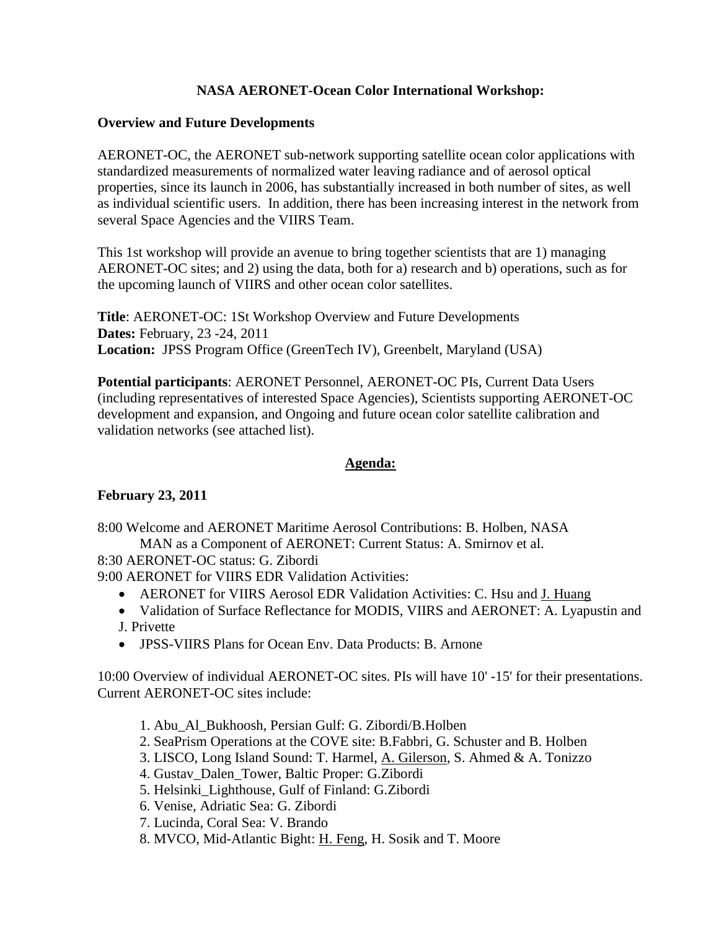# **NASA AERONET-Ocean Color International Workshop:**

#### **Overview and Future Developments**

AERONET-OC, the AERONET sub-network supporting satellite ocean color applications with standardized measurements of normalized water leaving radiance and of aerosol optical properties, since its launch in 2006, has substantially increased in both number of sites, as well as individual scientific users. In addition, there has been increasing interest in the network from several Space Agencies and the VIIRS Team.

This 1st workshop will provide an avenue to bring together scientists that are 1) managing AERONET-OC sites; and 2) using the data, both for a) research and b) operations, such as for the upcoming launch of VIIRS and other ocean color satellites.

**Title**: AERONET-OC: 1St Workshop Overview and Future Developments **Dates:** February, 23 -24, 2011 **Location:** JPSS Program Office (GreenTech IV), Greenbelt, Maryland (USA)

**Potential participants**: AERONET Personnel, AERONET-OC PIs, Current Data Users (including representatives of interested Space Agencies), Scientists supporting AERONET-OC development and expansion, and Ongoing and future ocean color satellite calibration and validation networks (see attached list).

### **Agenda:**

## **February 23, 2011**

8:00 Welcome and AERONET Maritime Aerosol Contributions: B. Holben, NASA MAN as a Component of AERONET: Current Status: A. Smirnov et al.

8:30 AERONET-OC status: G. Zibordi

9:00 AERONET for VIIRS EDR Validation Activities:

- AERONET for VIIRS Aerosol EDR Validation Activities: C. Hsu and J. Huang
- Validation of Surface Reflectance for MODIS, VIIRS and AERONET: A. Lyapustin and J. Privette
- JPSS-VIIRS Plans for Ocean Env. Data Products: B. Arnone

10:00 Overview of individual AERONET-OC sites. PIs will have 10' -15' for their presentations. Current AERONET-OC sites include:

- 1. Abu\_Al\_Bukhoosh, Persian Gulf: G. Zibordi/B.Holben
- 2. SeaPrism Operations at the COVE site: B.Fabbri, G. Schuster and B. Holben
- 3. LISCO, Long Island Sound: T. Harmel, A. Gilerson, S. Ahmed & A. Tonizzo
- 4. Gustav\_Dalen\_Tower, Baltic Proper: G.Zibordi
- 5. Helsinki\_Lighthouse, Gulf of Finland: G.Zibordi
- 6. Venise, Adriatic Sea: G. Zibordi
- 7. Lucinda, Coral Sea: V. Brando
- 8. MVCO, Mid-Atlantic Bight: H. Feng, H. Sosik and T. Moore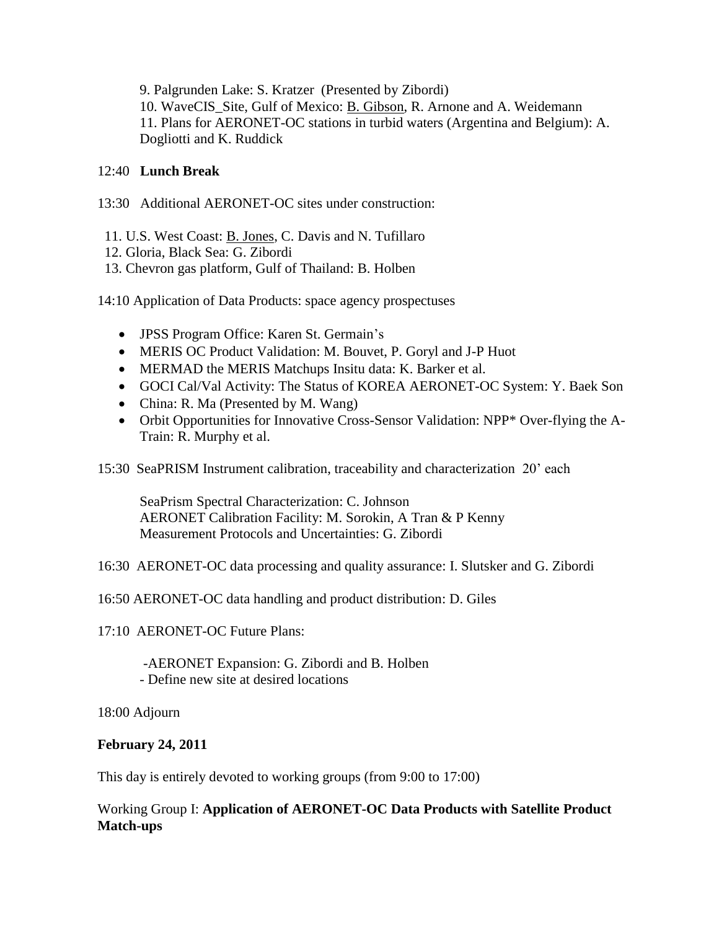9. Palgrunden Lake: S. Kratzer (Presented by Zibordi) 10. WaveCIS\_Site, Gulf of Mexico: B. Gibson, R. Arnone and A. Weidemann 11. Plans for AERONET-OC stations in turbid waters (Argentina and Belgium): A. Dogliotti and K. Ruddick

# 12:40 **Lunch Break**

- 13:30 Additional AERONET-OC sites under construction:
	- 11. U.S. West Coast: B. Jones, C. Davis and N. Tufillaro
	- 12. Gloria, Black Sea: G. Zibordi
- 13. Chevron gas platform, Gulf of Thailand: B. Holben

14:10 Application of Data Products: space agency prospectuses

- JPSS Program Office: Karen St. Germain's
- MERIS OC Product Validation: M. Bouvet, P. Goryl and J-P Huot
- MERMAD the MERIS Matchups Insitu data: K. Barker et al.
- GOCI Cal/Val Activity: The Status of KOREA AERONET-OC System: Y. Baek Son
- China: R. Ma (Presented by M. Wang)
- Orbit Opportunities for Innovative Cross-Sensor Validation: NPP\* Over-flying the A-Train: R. Murphy et al.
- 15:30 SeaPRISM Instrument calibration, traceability and characterization 20' each

SeaPrism Spectral Characterization: C. Johnson AERONET Calibration Facility: M. Sorokin, A Tran & P Kenny Measurement Protocols and Uncertainties: G. Zibordi

16:30 AERONET-OC data processing and quality assurance: I. Slutsker and G. Zibordi

16:50 AERONET-OC data handling and product distribution: D. Giles

17:10 AERONET-OC Future Plans:

-AERONET Expansion: G. Zibordi and B. Holben - Define new site at desired locations

18:00 Adjourn

## **February 24, 2011**

This day is entirely devoted to working groups (from 9:00 to 17:00)

Working Group I: **Application of AERONET-OC Data Products with Satellite Product Match-ups**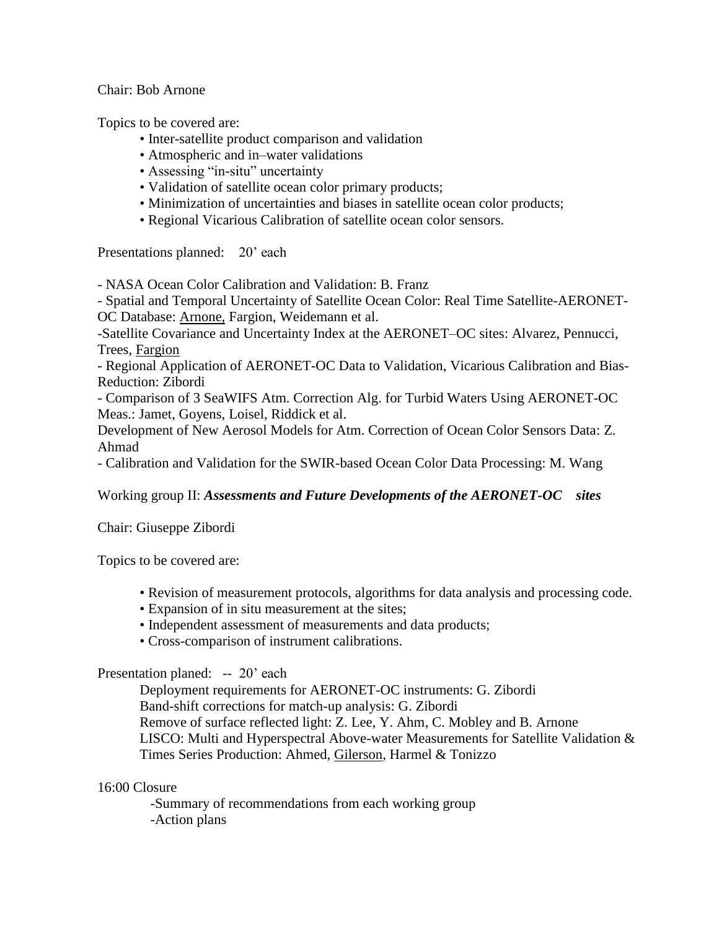Chair: Bob Arnone

Topics to be covered are:

- Inter-satellite product comparison and validation
- Atmospheric and in–water validations
- Assessing "in-situ" uncertainty
- Validation of satellite ocean color primary products;
- Minimization of uncertainties and biases in satellite ocean color products;
- Regional Vicarious Calibration of satellite ocean color sensors.

Presentations planned: 20' each

- NASA Ocean Color Calibration and Validation: B. Franz

- Spatial and Temporal Uncertainty of Satellite Ocean Color: Real Time Satellite-AERONET-OC Database: Arnone, Fargion, Weidemann et al.

-Satellite Covariance and Uncertainty Index at the AERONET–OC sites: Alvarez, Pennucci, Trees, Fargion

- Regional Application of AERONET-OC Data to Validation, Vicarious Calibration and Bias-Reduction: Zibordi

- Comparison of 3 SeaWIFS Atm. Correction Alg. for Turbid Waters Using AERONET-OC Meas.: Jamet, Goyens, Loisel, Riddick et al.

Development of New Aerosol Models for Atm. Correction of Ocean Color Sensors Data: Z. Ahmad

- Calibration and Validation for the SWIR-based Ocean Color Data Processing: M. Wang

Working group II: *Assessments and Future Developments of the AERONET-OC sites*

Chair: Giuseppe Zibordi

Topics to be covered are:

- Revision of measurement protocols, algorithms for data analysis and processing code.
- Expansion of in situ measurement at the sites;
- Independent assessment of measurements and data products;
- Cross-comparison of instrument calibrations.

## Presentation planed: -- 20' each

Deployment requirements for AERONET-OC instruments: G. Zibordi Band-shift corrections for match-up analysis: G. Zibordi Remove of surface reflected light: Z. Lee, Y. Ahm, C. Mobley and B. Arnone LISCO: Multi and Hyperspectral Above-water Measurements for Satellite Validation & Times Series Production: Ahmed, Gilerson, Harmel & Tonizzo

#### 16:00 Closure

 -Summary of recommendations from each working group -Action plans